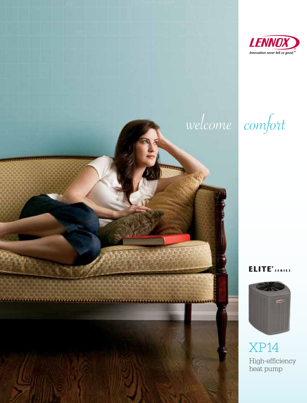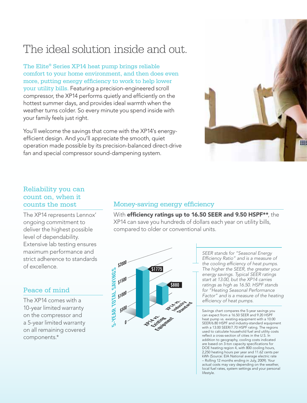## The ideal solution inside and out.

The Elite® Series XP14 heat pump brings reliable comfort to your home environment, and then does even more, putting energy efficiency to work to help lower your utility bills. Featuring a precision-engineered scroll compressor, the XP14 performs quietly and efficiently on the hottest summer days, and provides ideal warmth when the weather turns colder. So every minute you spend inside with your family feels just right.

You'll welcome the savings that come with the XP14's energyefficient design. And you'll appreciate the smooth, quiet operation made possible by its precision-balanced direct-drive fan and special compressor sound-dampening system.



### Reliability you can count on, when it counts the most

The XP14 represents Lennox' ongoing commitment to deliver the highest possible level of dependability. Extensive lab testing ensures maximum performance and strict adherence to standards of excellence.

### Peace of mind

The XP14 comes with a 10-year limited warranty on the compressor and a 5-year limited warranty on all remaining covered components.\*

### Money-saving energy efficiency

With efficiency ratings up to 16.50 SEER and 9.50 HSPF\*\*, the XP14 can save you hundreds of dollars each year on utility bills, compared to older or conventional units.



*SEER stands for "Seasonal Energy Efficiency Ratio" and is a measure of the cooling efficiency of heat pumps. The higher the SEER, the greater your energy savings. Typical SEER ratings start at 13.00, but the XP14 carries ratings as high as 16.50. HSPF stands for "Heating Seasonal Performance Factor" and is a measure of the heating efficiency of heat pumps.*

Savings chart compares the 5-year savings you can expect from a 16.50 SEER and 9.20 HSPF heat pump vs. existing equipment with a 10.00 SEER/6.80 HSPF and industry-standard equipment with a 13.00 SEER/7.70 HSPF rating. The regions used to calculate household fuel and utility costs reflect a cross-section of cities in the U.S. In addition to geography, cooling costs indicated are based on 3-ton capacity specifications for DOE heating region 4, with 800 cooling hours, 2,250 heating hours per year and 11.62 cents per kWh (Source: EIA National average electric rate – Rolling 12 months ending in July, 2009). Your actual costs may vary depending on the weather, local fuel rates, system settings and your personal lifestyle.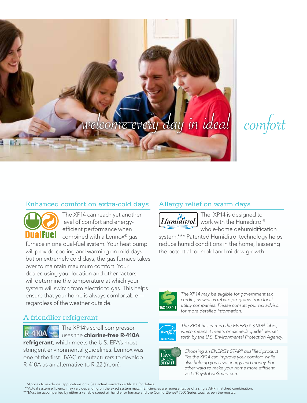# welcome every day in ideal



### Enhanced comfort on extra-cold days



The XP14 can reach yet another level of comfort and energyefficient performance when combined with a Lennox® gas

furnace in one dual-fuel system. Your heat pump will provide cooling and warming on mild days, but on extremely cold days, the gas furnace takes over to maintain maximum comfort. Your dealer, using your location and other factors, will determine the temperature at which your system will switch from electric to gas. This helps ensure that your home is always comfortable regardless of the weather outside.

### A friendlier refrigerant



The XP14's scroll compressor uses the chlorine-free R-410A

refrigerant, which meets the U.S. EPA's most stringent environmental guidelines. Lennox was one of the first HVAC manufacturers to develop R-410A as an alternative to R-22 (freon).

### Allergy relief on warm days



The XP14 is designed to Humiditrol. work with the Humiditrol® whole-home dehumidification

system.\*\*\* Patented Humiditrol technology helps reduce humid conditions in the home, lessening the potential for mold and mildew growth.



*The XP14 may be eligible for government tax credits, as well as rebate programs from local utility companies. Please consult your tax advisor for more detailed information.* 



*The XP14 has earned the ENERGY STAR® label, which means it meets or exceeds guidelines set forth by the U.S. Environmental Protection Agency.*



*Choosing an ENERGY STAR® qualified product like the XP14 can improve your comfort, while also helping you save energy and money. For other ways to make your home more efficient, visit ItPaystoLiveSmart.com.*

\*Applies to residential applications only. See actual warranty certificate for details.

\*\*Actual system efficiency may vary depending on the exact system match. Efficiencies are representative of a single AHRI matched combination.

\*\*\*Must be accompanied by either a variable speed air handler or furnace and the ComfortSense® 7000 Series touchscreen thermostat.